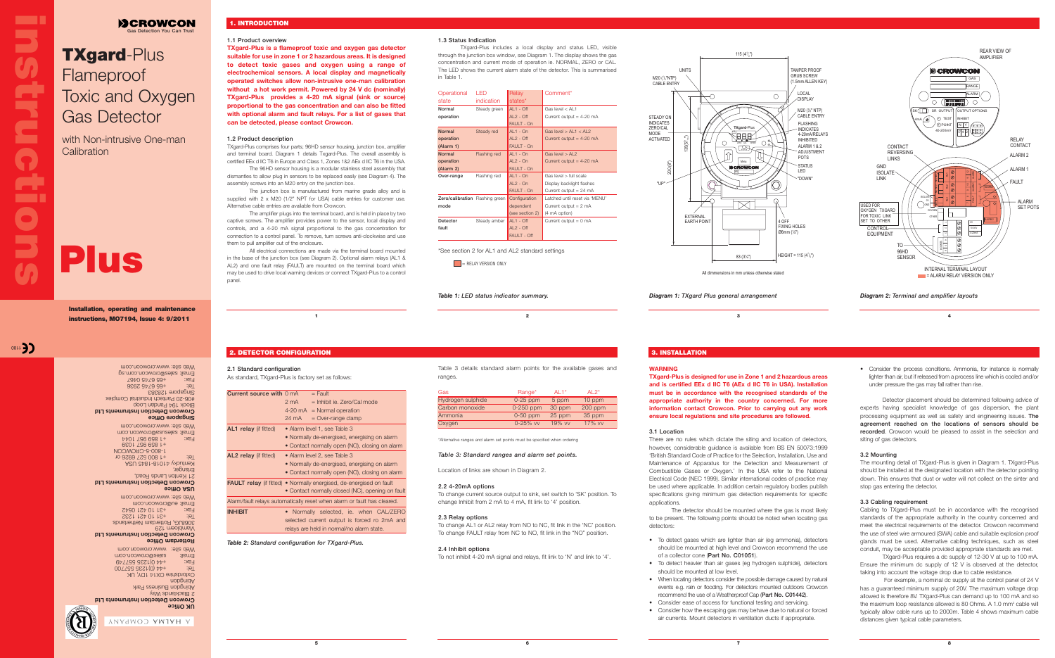# **1.1 Product overview**

**TXgard-Plus is a flameproof toxic and oxygen gas detector suitable for use in zone 1 or 2 hazardous areas. It is designed to detect toxic gases and oxygen using a range of electrochemical sensors. A local display and magnetically operated switches allow non-intrusive one-man calibration without a hot work permit. Powered by 24 V dc (nominally) TXgard-Plus provides a 4-20 mA signal (sink or source) proportional to the gas concentration and can also be fitted with optional alarm and fault relays. For a list of gases that can be detected, please contact Crowcon.**

# **1.2 Product description**

The junction box is manufactured from marine grade alloy and is supplied with 2 x M20 (1/2" NPT for USA) cable entries for customer use. Alternative cable entries are available from Crowcon.

TXgard-Plus comprises four parts; 96HD sensor housing, junction box, amplifier and terminal board. Diagram 1 details Txgard-Plus. The overall assembly is certified EEx d IIC T6 in Europe and Class 1, Zones 1&2 AEx d IIC T6 in the USA.

All electrical connections are made via the terminal board mounted in the base of the junction box (see Diagram 2). Optional alarm relays (AL1 & AL2) and one fault relay (FAULT) are mounted on the terminal board which may be used to drive local warning devices or connect TXgard-Plus to a control panel

The 96HD sensor housing is a modular stainless steel assembly that dismantles to allow plug in sensors to be replaced easily (see Diagram 4). The assembly screws into an M20 entry on the junction box.

The amplifier plugs into the terminal board, and is held in place by two captive screws. The amplifier provides power to the sensor, local display and controls, and a 4-20 mA signal proportional to the gas concentration for connection to a control panel. To remove, turn screws anti-clockwise and use them to pull amplifier out of the enclosure.

> Table 3 details standard alarm points for the available gases and ranges

# **1.3 Status Indication**

with Non-intrusive One-man **Calibration** 

TXgard-Plus includes a local display and status LED, visible through the junction box window, see Diagram 1. The display shows the gas concentration and current mode of operation ie. NORMAL, ZERO or CAL. The LED shows the current alarm state of the detector. This is summarised in Table 1.

> Detector placement should be determined following advice of experts having specialist knowledge of gas dispersion, the plant processing equipment as well as safety and engineering issues. **The agreement reached on the locations of sensors should be recorded**. Crowcon would be pleased to assist in the selection and siting of gas detectors.

| Operational                     | I FD         | Relay           | Comment*                         |
|---------------------------------|--------------|-----------------|----------------------------------|
| state                           | indication   | states*         |                                  |
| Normal                          | Steady green | $AI - Off$      | Gas level $<$ Al 1               |
| operation                       |              | $AI$ 2 - $Off$  | Current output = $4-20$ mA       |
|                                 |              | FAULT - On      |                                  |
| <b>Normal</b>                   | Steady red   | $AI - On$       | Gas level $>$ Al 1 $<$ Al 2      |
| operation                       |              | $AI$ $2 - Off$  | Current output = $4-20$ mA       |
| (Alarm 1)                       |              | FAULT - On      |                                  |
| <b>Normal</b>                   | Flashing red | $AL1 - On$      | Gas level $>$ Al 2               |
| operation                       |              | $AI$ 2 - $On$   | Current output = $4-20$ mA       |
| (Alarm 2)                       |              | FAULT - On      |                                  |
| Over-range                      | Flashing red | $AI - On$       | Gas level > full scale           |
|                                 |              | $AI$ 2 - $On$   | Display backlight flashes        |
|                                 |              | FAULT - On      | Current output = $24 \text{ mA}$ |
| Zero/calibration Flashing green |              | Configuration   | Latched until reset via 'MENU'   |
| mode                            |              | dependent       | Current output $= 2$ mA          |
|                                 |              | (see section 2) | (4 mA option)                    |
| Detector                        | Steady amber | $AL1 - Off$     | Current output $= 0$ mA          |
| fault                           |              | $AI$ $2 - Off$  |                                  |
|                                 |              | FAULT - Off     |                                  |

\*See section 2 for AL1 and AL2 standard settings

E RELAY VERSION ONLY

M20 (<sup>1</sup>/,"NTP)<br>M20 (<sup>1</sup>/,"NTP) |<br>|<br>|<br>| M20 (<sup>1</sup>/<sub>2</sub>"NTP)<br>M20 (<sup>1</sup>/<sub>2</sub>"NTP)<br>CABLE ENTRY 135(5)',,")  $\qquad \qquad$   $\qquad$   $\qquad$   $\qquad$   $\qquad$   $\qquad$   $\qquad$   $\qquad$   $\qquad$   $\qquad$   $\qquad$   $\qquad$   $\qquad$   $\qquad$   $\qquad$   $\qquad$   $\qquad$   $\qquad$   $\qquad$   $\qquad$   $\qquad$   $\qquad$   $\qquad$   $\qquad$   $\qquad$   $\qquad$   $\qquad$   $\qquad$   $\qquad$   $\qquad$   $\qquad$   $\qquad$   $\qquad$   $\qquad$   $\$ 200 (8") UNITS M20 (1/ "NTP) CABLE ENTRY STEADY O INDICATES ZERO/CAL MODE ACTIVATED יםו ויי **EXTERNAL** EARTH POINT

| Gas               | Range*        | Al $1^*$ | Al $2^*$  |
|-------------------|---------------|----------|-----------|
| Hydrogen sulphide | $0-25$ ppm    | 5 ppm    | 10 ppm    |
| Carbon monoxide   | 0-250 ppm     | 30 ppm   | $200$ ppm |
| Ammonia           | $0-50$ ppm    | 25 ppm   | 35 ppm    |
| Oxygen            | $0 - 25\%$ vv | 19% vv   | 17% vv    |

\*Alternative ranges and alarm set points must be specified when ordering

# *Table 3: Standard ranges and alarm set points.*

Location of links are shown in Diagram 2.

# **The Contract of Street instructions** E **Stru**  $\overline{\mathbf{O}}$

**DEROWCON Gas Detection You Can Trust**

# **2.2 4-20mA options**

To change current source output to sink, set switch to 'SK' position. To change Inhibit from 2 mA to 4 mA, fit link to '4' position.

# **2.3 Relay options**

To change AL1 or AL2 relay from NO to NC, fit link in the 'NC' position. To change FAULT relay from NC to NO, fit link in the "NO" position.

# **2.4 Inhibit options**

To not inhibit 4-20 mA signal and relays, fit link to 'N' and link to '4'.

# **TXgard**-Plus Flameproof Toxic and Oxygen Gas Detector

**Installation, operating and maintenance instructions, MO7194, Issue 4: 9/2011**

0811 3)

Web site: www.crowcon.com Email: sales@crowcon.com.sg  $79 + 67 + 99 + 378 + 379$ 9867 9749 984 Singapore 128383 #06-20 Pantech Industrial Complex Block 194 Pandan Loop **Crowcon Detection Instruments Ltd Singapore Office** Web site: www.crowcon.com Email: salesusa@crowcon.com Fax: +1 859 957 1044 +1 859 957 1039 1-800-5-CROWCON Tel: +1 800 527 6926 or Kentucky 41018-1845 USA Erlanger, 21 Kenton Lands Road, **Crowcon Detection Instruments Ltd USA Office** Web site: www.crowcon.com Email: eu@crowcon.com Fax: +31 10 421 0542 Tel: +31 10 421 1232 3068JG, Rotterdam Netherlands Vlambloem 129 **Crowcon Detection Instruments Ltd Rotterdam Office** Web site: www.crowcon.com Email: sales@crowcon.com Fax: +44 0)1235 557749  $T(0)$   $T(0)$   $T(0)$   $T(0)$   $T(0)$   $T(0)$ Oxfordshire OX14 1DY, UK uopbuig Abingdon Business Park 2 Blacklands Way **Crowcon Detection Instruments Ltd UK Office** A HALMA COMPANY

# **Plus**

**1 2 3**

**5**

**4**

• Consider the process conditions. Ammonia, for instance is normally lighter than air, but if released from a process line which is cooled and/or under pressure the gas may fall rather than rise.

# **3.2 Mounting**

The mounting detail of TXgard-Plus is given in Diagram 1. TXgard-Plus should be installed at the designated location with the detector pointing down. This ensures that dust or water will not collect on the sinter and stop gas entering the detector.

# **3.3 Cabling requirement**

Cabling to TXgard-Plus must be in accordance with the recognised standards of the appropriate authority in the country concerned and meet the electrical requirements of the detector. Crowcon recommend the use of steel wire armoured (SWA) cable and suitable explosion proof glands must be used. Alternative cabling techniques, such as steel conduit, may be acceptable provided appropriate standards are met.

TXgard-Plus requires a dc supply of 12-30 V at up to 100 mA. Ensure the minimum dc supply of 12 V is observed at the detector, taking into account the voltage drop due to cable resistance.

For example, a nominal dc supply at the control panel of 24 V has a guaranteed minimum supply of 20V. The maximum voltage drop allowed is therefore 8V. TXgard-Plus can demand up to 100 mA and so the maximum loop resistance allowed is 80 Ohms. A 1.0 mm2 cable will typically allow cable runs up to 2000m. Table 4 shows maximum cable distances given typical cable parameters.

# **2. DETECTOR CONFIGURATION**

# **2.1 Standard configuration**

As standard, TXgard-Plus is factory set as follows:

| Current source with 0 mA     |                                              | $=$ Fault                                                                  |  |  |  |
|------------------------------|----------------------------------------------|----------------------------------------------------------------------------|--|--|--|
|                              | $2 \text{ mA}$                               | $=$ Inhibit ie. Zero/Cal mode                                              |  |  |  |
|                              |                                              | $4-20 \text{ mA}$ = Normal operation                                       |  |  |  |
|                              | 24 mA                                        | $=$ Over-range clamp                                                       |  |  |  |
| <b>AL1</b> relay (if fitted) |                                              | • Alarm level 1, see Table 3                                               |  |  |  |
|                              |                                              | • Normally de-energised, energising on alarm                               |  |  |  |
|                              |                                              | • Contact normally open (NO), closing on alarm                             |  |  |  |
| AL2 relay (if fitted)        | • Alarm level 2, see Table 3                 |                                                                            |  |  |  |
|                              | • Normally de-energised, energising on alarm |                                                                            |  |  |  |
|                              |                                              | • Contact normally open (NO), closing on alarm                             |  |  |  |
|                              |                                              | <b>FAULT relay</b> (if fitted) • Normally energised, de-energised on fault |  |  |  |
|                              |                                              | • Contact normally closed (NC), opening on fault                           |  |  |  |
|                              |                                              | Alarm/fault relays automatically reset when alarm or fault has cleared.    |  |  |  |
| <b>INHIBIT</b>               |                                              | Normally selected, ie. when CAL/ZERO                                       |  |  |  |
|                              |                                              | selected current output is forced ro 2mA and                               |  |  |  |
|                              |                                              | relays are held in normal/no alarm state.                                  |  |  |  |

# **3. INSTALLATION**

# **WARNING**

**TXgard-Plus is designed for use in Zone 1 and 2 hazardous areas and is certified EEx d IIC T6 (AEx d IIC T6 in USA). Installation must be in accordance with the recognised standards of the appropriate authority in the country concerned. For more information contact Crowcon. Prior to carrying out any work ensure local regulations and site procedures are followed.**

# **3.1 Location**

There are no rules which dictate the siting and location of detectors, however, considerable guidance is available from BS EN 50073:1999 'British Standard Code of Practice for the Selection, Installation, Use and Maintenance of Apparatus for the Detection and Measurement of Combustible Gases or Oxygen.' In the USA refer to the National Electrical Code (NEC 1999). Similar international codes of practice may be used where applicable. In addition certain regulatory bodies publish specifications giving minimum gas detection requirements for specific applications.

The detector should be mounted where the gas is most likely to be present. The following points should be noted when locating gas detectors:

• To detect gases which are lighter than air (eg ammonia), detectors should be mounted at high level and Crowcon recommend the use

• To detect heavier than air gases (eg hydrogen sulphide), detectors



- of a collector cone (**Part No. C01051**).
- should be mounted at low level.
- 
- Consider ease of access for functional testing and servicing.
- 

• When locating detectors consider the possible damage caused by natural events e.g. rain or flooding. For detectors mounted outdoors Crowcon recommend the use of a Weatherproof Cap (**Part No. C01442**).

• Consider how the escaping gas may behave due to natural or forced

air currents. Mount detectors in ventilation ducts if appropriate.

# **1. INTRODUCTION**

*Table 2: Standard configuration for TXgard-Plus.*